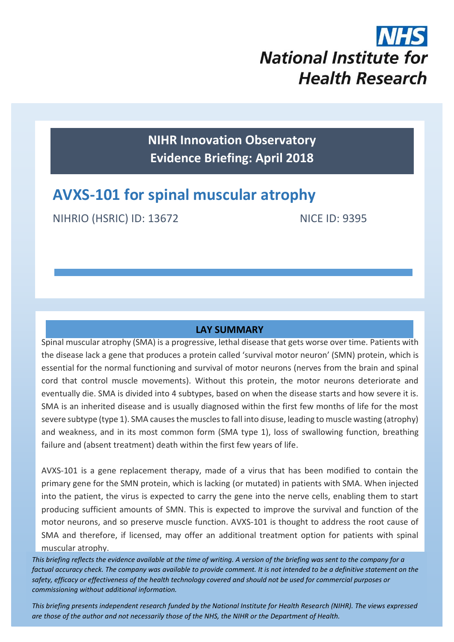

**NIHR Innovation Observatory Evidence Briefing: April 2018**

# **AVXS-101 for spinal muscular atrophy**

NIHRIO (HSRIC) ID: 13672 NICE ID: 9395

#### **LAY SUMMARY**

Spinal muscular atrophy (SMA) is a progressive, lethal disease that gets worse over time. Patients with the disease lack a gene that produces a protein called 'survival motor neuron' (SMN) protein, which is essential for the normal functioning and survival of motor neurons (nerves from the brain and spinal cord that control muscle movements). Without this protein, the motor neurons deteriorate and eventually die. SMA is divided into 4 subtypes, based on when the disease starts and how severe it is. SMA is an inherited disease and is usually diagnosed within the first few months of life for the most severe subtype (type 1). SMA causes the muscles to fall into disuse, leading to muscle wasting (atrophy) and weakness, and in its most common form (SMA type 1), loss of swallowing function, breathing failure and (absent treatment) death within the first few years of life.

AVXS-101 is a gene replacement therapy, made of a virus that has been modified to contain the primary gene for the SMN protein, which is lacking (or mutated) in patients with SMA. When injected into the patient, the virus is expected to carry the gene into the nerve cells, enabling them to start producing sufficient amounts of SMN. This is expected to improve the survival and function of the motor neurons, and so preserve muscle function. AVXS-101 is thought to address the root cause of SMA and therefore, if licensed, may offer an additional treatment option for patients with spinal muscular atrophy.

*This briefing reflects the evidence available at the time of writing. A version of the briefing was sent to the company for a factual accuracy check. The company was available to provide comment. It is not intended to be a definitive statement on the safety, efficacy or effectiveness of the health technology covered and should not be used for commercial purposes or commissioning without additional information.*

1 *This briefing presents independent research funded by the National Institute for Health Research (NIHR). The views expressed are those of the author and not necessarily those of the NHS, the NIHR or the Department of Health.*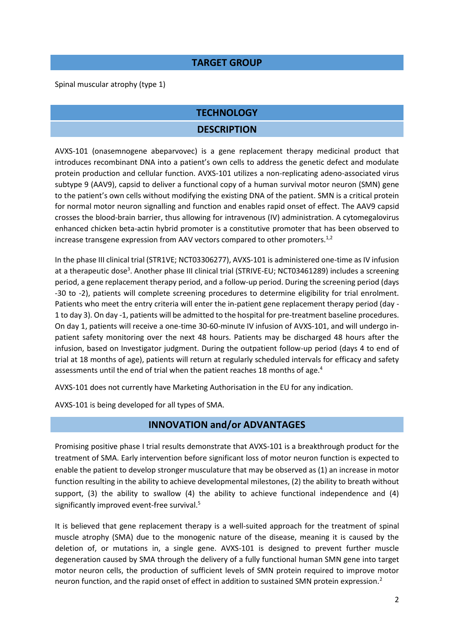#### **TARGET GROUP**

Spinal muscular atrophy (type 1)

#### **TECHNOLOGY**

#### <span id="page-1-1"></span><span id="page-1-0"></span>**DESCRIPTION**

AVXS-101 (onasemnogene abeparvovec) is a gene replacement therapy medicinal product that introduces recombinant DNA into a patient's own cells to address the genetic defect and modulate protein production and cellular function. AVXS-101 utilizes a non-replicating adeno-associated virus subtype 9 (AAV9), capsid to deliver a functional copy of a human survival motor neuron (SMN) gene to the patient's own cells without modifying the existing DNA of the patient. SMN is a critical protein for normal motor neuron signalling and function and enables rapid onset of effect. The AAV9 capsid crosses the blood-brain barrier, thus allowing for intravenous (IV) administration. A cytomegalovirus enhanced chicken beta-actin hybrid promoter is a constitutive promoter that has been observed to increase transgene expression from AAV vectors compared to other promoters.<sup>1,2</sup>

<span id="page-1-2"></span>In the phase III clinical trial (STR1VE; NCT03306277), AVXS-101 is administered one-time as IV infusion at a therapeutic dose<sup>3</sup>. Another phase III clinical trial (STRIVE-EU; NCT03461289) includes a screening period, a gene replacement therapy period, and a follow-up period. During the screening period (days -30 to -2), patients will complete screening procedures to determine eligibility for trial enrolment. Patients who meet the entry criteria will enter the in-patient gene replacement therapy period (day - 1 to day 3). On day -1, patients will be admitted to the hospital for pre-treatment baseline procedures. On day 1, patients will receive a one-time 30-60-minute IV infusion of AVXS-101, and will undergo inpatient safety monitoring over the next 48 hours. Patients may be discharged 48 hours after the infusion, based on Investigator judgment. During the outpatient follow-up period (days 4 to end of trial at 18 months of age), patients will return at regularly scheduled intervals for efficacy and safety assessments until the end of trial when the patient reaches 18 months of age.<sup>4</sup>

AVXS-101 does not currently have Marketing Authorisation in the EU for any indication.

AVXS-101 is being developed for all types of SMA.

### <span id="page-1-3"></span>**INNOVATION and/or ADVANTAGES**

Promising positive phase I trial results demonstrate that AVXS-101 is a breakthrough product for the treatment of SMA. Early intervention before significant loss of motor neuron function is expected to enable the patient to develop stronger musculature that may be observed as (1) an increase in motor function resulting in the ability to achieve developmental milestones, (2) the ability to breath without support, (3) the ability to swallow (4) the ability to achieve functional independence and (4) significantly improved event-free survival.<sup>5</sup>

It is believed that gene replacement therapy is a well-suited approach for the treatment of spinal muscle atrophy (SMA) due to the monogenic nature of the disease, meaning it is caused by the deletion of, or mutations in, a single gene. AVXS-101 is designed to prevent further muscle degeneration caused by SMA through the delivery of a fully functional human SMN gene into target motor neuron cells, the production of sufficient levels of SMN protein required to improve motor neuron function, and the rapid onset of effect in addition to sustained SMN protein expression[.](#page-1-0)<sup>2</sup>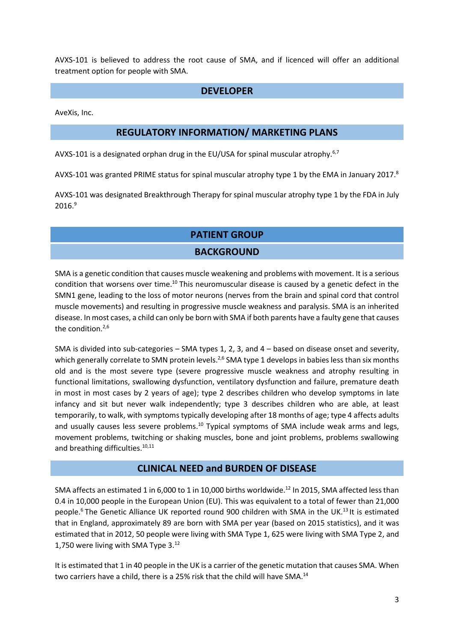AVXS-101 is believed to address the root cause of SMA, and if licenced will offer an additional treatment option for people with SMA.

#### <span id="page-2-0"></span>**DEVELOPER**

AveXis, Inc.

#### **REGULATORY INFORMATION/ MARKETING PLANS**

AVXS-101 is a designated orphan drug in the EU/USA for spinal muscular atrophy.<sup>6,7</sup>

AVXS-101 was granted PRIME status for spinal muscular atrophy type 1 by the EMA in January 2017.<sup>8</sup>

AVXS-101 was designated Breakthrough Therapy for spinal muscular atrophy type 1 by the FDA in July  $2016.<sup>9</sup>$ 

### **PATIENT GROUP**

#### <span id="page-2-1"></span>**BACKGROUND**

SMA is a genetic condition that causes muscle weakening and problems with movement. It is a serious condition that worsens over time.<sup>10</sup> This neuromuscular disease is caused by a genetic defect in the SMN1 gene, leading to the loss of motor neurons (nerves from the brain and spinal cord that control muscle movements) and resulting in progressive muscle weakness and paralysis. SMA is an inherited disease. In most cases, a child can only be born with SMA if both parents have a faulty gene that causes the condition.<sup>[2,](#page-1-1)[6](#page-2-0)</sup>

SMA is divided into sub-categories – SMA types 1, 2, 3, and 4 – based on disease onset and severity, which generally correlate to SMN protein levels.<sup>[2,](#page-1-1)[6](#page-2-0)</sup> SMA type 1 develops in babies less than six months old and is the most severe type (severe progressive muscle weakness and atrophy resulting in functional limitations, swallowing dysfunction, ventilatory dysfunction and failure, premature death in most in most cases by 2 years of age); type 2 describes children who develop symptoms in late infancy and sit but never walk independently; type 3 describes children who are able, at least temporarily, to walk, with symptoms typically developing after 18 months of age; type 4 affects adults and usually causes less severe problems.<sup>[10](#page-2-1)</sup> Typical symptoms of SMA include weak arms and legs, movement problems, twitching or shaking muscles, bone and joint problems, problems swallowing and breathing difficulties.<sup>[10,1](#page-2-1)1</sup>

#### <span id="page-2-2"></span>**CLINICAL NEED and BURDEN OF DISEASE**

SMA affects an estimated 1 in 6,000 to 1 in 10,000 births worldwide.<sup>12</sup> In 2015, SMA affected less than 0.4 in 10,000 people in the European Union (EU). This was equivalent to a total of fewer than 21,000 people[.](#page-2-0)<sup>6</sup> The Genetic Alliance UK reported round 900 children with SMA in the UK.<sup>13</sup> It is estimated that in England, approximately 89 are born with SMA per year (based on 2015 statistics), and it was estimated that in 2012, 50 people were living with SMA Type 1, 625 were living with SMA Type 2, and 1,750 were living with SMA Type 3.[12](#page-2-2) 

It is estimated that 1 in 40 people in the UK is a carrier of the genetic mutation that causes SMA. When two carriers have a child, there is a 25% risk that the child will have SMA.<sup>14</sup>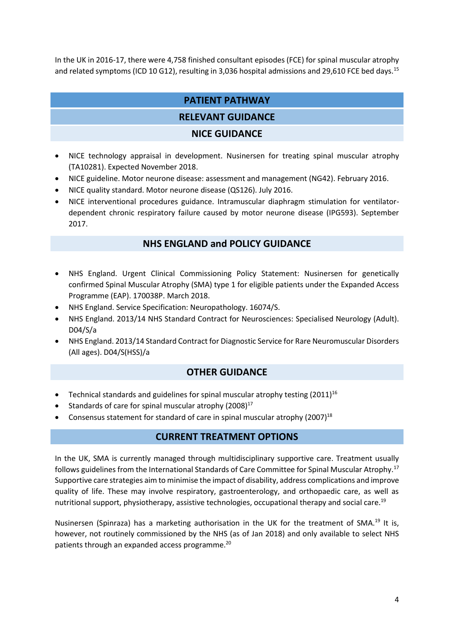In the UK in 2016-17, there were 4,758 finished consultant episodes (FCE) for spinal muscular atrophy and related symptoms (ICD 10 G12), resulting in 3,036 hospital admissions and 29,610 FCE bed days.<sup>15</sup>

#### **PATIENT PATHWAY**

#### **RELEVANT GUIDANCE**

#### **NICE GUIDANCE**

- NICE technology appraisal in development. Nusinersen for treating spinal muscular atrophy (TA10281). Expected November 2018.
- NICE guideline. Motor neurone disease: assessment and management (NG42). February 2016.
- NICE quality standard. Motor neurone disease (QS126). July 2016.
- NICE interventional procedures guidance. Intramuscular diaphragm stimulation for ventilatordependent chronic respiratory failure caused by motor neurone disease (IPG593). September 2017.

#### **NHS ENGLAND and POLICY GUIDANCE**

- NHS England. Urgent Clinical Commissioning Policy Statement: Nusinersen for genetically confirmed Spinal Muscular Atrophy (SMA) type 1 for eligible patients under the Expanded Access Programme (EAP). 170038P. March 2018.
- NHS England. Service Specification: Neuropathology. 16074/S.
- NHS England. 2013/14 NHS Standard Contract for Neurosciences: Specialised Neurology (Adult). D04/S/a
- NHS England. 2013/14 Standard Contract for Diagnostic Service for Rare Neuromuscular Disorders (All ages). D04/S(HSS)/a

#### <span id="page-3-0"></span>**OTHER GUIDANCE**

- Technical standards and guidelines for spinal muscular atrophy testing  $(2011)^{16}$
- Standards of care for spinal muscular atrophy  $(2008)^{17}$
- Consensus statement for standard of care in spinal muscular atrophy  $(2007)^{18}$

#### <span id="page-3-1"></span>**CURRENT TREATMENT OPTIONS**

In the UK, SMA is currently managed through multidisciplinary supportive care. Treatment usually follows guidelines from the International Standards of Care Committee for Spinal Muscular Atrophy.[17](#page-3-0) Supportive care strategies aim to minimise the impact of disability, address complications and improve quality of life. These may involve respiratory, gastroenterology, and orthopaedic care, as well as nutritional support, physiotherapy, assistive technologies, occupational therapy and social care.<sup>19</sup>

Nusinersen (Spinraza) has a marketing authorisation in the UK for the treatment of SMA.<sup>[19](#page-3-1)</sup> It is, however, not routinely commissioned by the NHS (as of Jan 2018) and only available to select NHS patients through an expanded access programme.<sup>20</sup>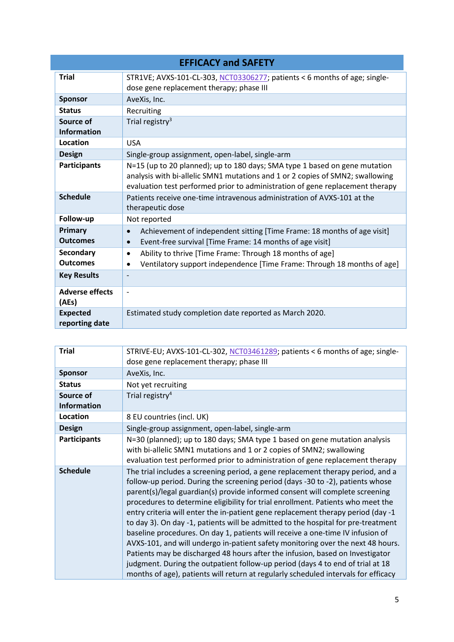| <b>EFFICACY and SAFETY</b>        |                                                                                                                                                                                                                                              |  |
|-----------------------------------|----------------------------------------------------------------------------------------------------------------------------------------------------------------------------------------------------------------------------------------------|--|
| <b>Trial</b>                      | STR1VE; AVXS-101-CL-303, NCT03306277; patients < 6 months of age; single-<br>dose gene replacement therapy; phase III                                                                                                                        |  |
| <b>Sponsor</b>                    | AveXis, Inc.                                                                                                                                                                                                                                 |  |
| <b>Status</b>                     | Recruiting                                                                                                                                                                                                                                   |  |
| Source of<br><b>Information</b>   | Trial registry <sup>3</sup>                                                                                                                                                                                                                  |  |
| Location                          | <b>USA</b>                                                                                                                                                                                                                                   |  |
| <b>Design</b>                     | Single-group assignment, open-label, single-arm                                                                                                                                                                                              |  |
| <b>Participants</b>               | N=15 (up to 20 planned); up to 180 days; SMA type 1 based on gene mutation<br>analysis with bi-allelic SMN1 mutations and 1 or 2 copies of SMN2; swallowing<br>evaluation test performed prior to administration of gene replacement therapy |  |
| <b>Schedule</b>                   | Patients receive one-time intravenous administration of AVXS-101 at the<br>therapeutic dose                                                                                                                                                  |  |
| Follow-up                         | Not reported                                                                                                                                                                                                                                 |  |
| Primary<br><b>Outcomes</b>        | Achievement of independent sitting [Time Frame: 18 months of age visit]<br>$\bullet$<br>Event-free survival [Time Frame: 14 months of age visit]<br>$\bullet$                                                                                |  |
| <b>Secondary</b>                  | Ability to thrive [Time Frame: Through 18 months of age]<br>$\bullet$                                                                                                                                                                        |  |
| <b>Outcomes</b>                   | Ventilatory support independence [Time Frame: Through 18 months of age]<br>$\bullet$                                                                                                                                                         |  |
| <b>Key Results</b>                |                                                                                                                                                                                                                                              |  |
| <b>Adverse effects</b><br>(AEs)   | $\overline{a}$                                                                                                                                                                                                                               |  |
| <b>Expected</b><br>reporting date | Estimated study completion date reported as March 2020.                                                                                                                                                                                      |  |

| <b>Trial</b>                    | STRIVE-EU; AVXS-101-CL-302, NCT03461289; patients < 6 months of age; single-<br>dose gene replacement therapy; phase III                                                                                                                                                                                                                                                                                                                                                                                                                                                                                                                                                                                                                                                                                                                                                                                                                    |  |
|---------------------------------|---------------------------------------------------------------------------------------------------------------------------------------------------------------------------------------------------------------------------------------------------------------------------------------------------------------------------------------------------------------------------------------------------------------------------------------------------------------------------------------------------------------------------------------------------------------------------------------------------------------------------------------------------------------------------------------------------------------------------------------------------------------------------------------------------------------------------------------------------------------------------------------------------------------------------------------------|--|
| <b>Sponsor</b>                  | AveXis, Inc.                                                                                                                                                                                                                                                                                                                                                                                                                                                                                                                                                                                                                                                                                                                                                                                                                                                                                                                                |  |
| <b>Status</b>                   | Not yet recruiting                                                                                                                                                                                                                                                                                                                                                                                                                                                                                                                                                                                                                                                                                                                                                                                                                                                                                                                          |  |
| Source of<br><b>Information</b> | Trial registry <sup>4</sup>                                                                                                                                                                                                                                                                                                                                                                                                                                                                                                                                                                                                                                                                                                                                                                                                                                                                                                                 |  |
| Location                        | 8 EU countries (incl. UK)                                                                                                                                                                                                                                                                                                                                                                                                                                                                                                                                                                                                                                                                                                                                                                                                                                                                                                                   |  |
| <b>Design</b>                   | Single-group assignment, open-label, single-arm                                                                                                                                                                                                                                                                                                                                                                                                                                                                                                                                                                                                                                                                                                                                                                                                                                                                                             |  |
| <b>Participants</b>             | N=30 (planned); up to 180 days; SMA type 1 based on gene mutation analysis<br>with bi-allelic SMN1 mutations and 1 or 2 copies of SMN2; swallowing<br>evaluation test performed prior to administration of gene replacement therapy                                                                                                                                                                                                                                                                                                                                                                                                                                                                                                                                                                                                                                                                                                         |  |
| <b>Schedule</b>                 | The trial includes a screening period, a gene replacement therapy period, and a<br>follow-up period. During the screening period (days -30 to -2), patients whose<br>parent(s)/legal guardian(s) provide informed consent will complete screening<br>procedures to determine eligibility for trial enrollment. Patients who meet the<br>entry criteria will enter the in-patient gene replacement therapy period (day -1<br>to day 3). On day -1, patients will be admitted to the hospital for pre-treatment<br>baseline procedures. On day 1, patients will receive a one-time IV infusion of<br>AVXS-101, and will undergo in-patient safety monitoring over the next 48 hours.<br>Patients may be discharged 48 hours after the infusion, based on Investigator<br>judgment. During the outpatient follow-up period (days 4 to end of trial at 18<br>months of age), patients will return at regularly scheduled intervals for efficacy |  |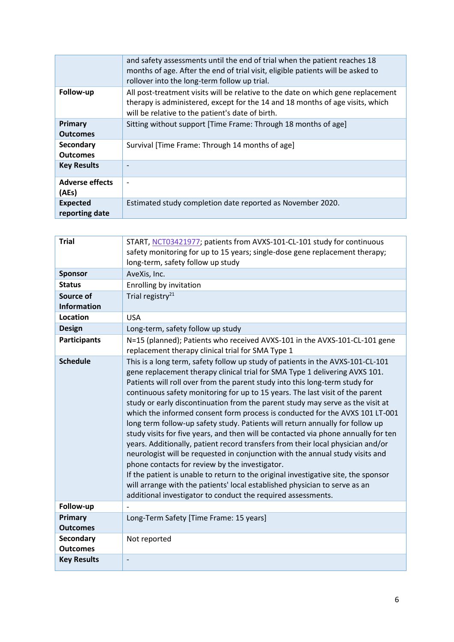|                                   | and safety assessments until the end of trial when the patient reaches 18<br>months of age. After the end of trial visit, eligible patients will be asked to<br>rollover into the long-term follow up trial.          |  |
|-----------------------------------|-----------------------------------------------------------------------------------------------------------------------------------------------------------------------------------------------------------------------|--|
| Follow-up                         | All post-treatment visits will be relative to the date on which gene replacement<br>therapy is administered, except for the 14 and 18 months of age visits, which<br>will be relative to the patient's date of birth. |  |
| <b>Primary</b><br><b>Outcomes</b> | Sitting without support [Time Frame: Through 18 months of age]                                                                                                                                                        |  |
| Secondary<br><b>Outcomes</b>      | Survival [Time Frame: Through 14 months of age]                                                                                                                                                                       |  |
| <b>Key Results</b>                | ۰                                                                                                                                                                                                                     |  |
| <b>Adverse effects</b><br>(AEs)   | $\overline{\phantom{a}}$                                                                                                                                                                                              |  |
| <b>Expected</b><br>reporting date | Estimated study completion date reported as November 2020.                                                                                                                                                            |  |

| <b>Trial</b>                        | START, NCT03421977; patients from AVXS-101-CL-101 study for continuous                                                                                                                                                                                                                                                                                                                                                                                                                                                                                                                                                                                                                                                                                                                                                                                                                                                                                                                                                                                                                                                           |  |
|-------------------------------------|----------------------------------------------------------------------------------------------------------------------------------------------------------------------------------------------------------------------------------------------------------------------------------------------------------------------------------------------------------------------------------------------------------------------------------------------------------------------------------------------------------------------------------------------------------------------------------------------------------------------------------------------------------------------------------------------------------------------------------------------------------------------------------------------------------------------------------------------------------------------------------------------------------------------------------------------------------------------------------------------------------------------------------------------------------------------------------------------------------------------------------|--|
|                                     | safety monitoring for up to 15 years; single-dose gene replacement therapy;                                                                                                                                                                                                                                                                                                                                                                                                                                                                                                                                                                                                                                                                                                                                                                                                                                                                                                                                                                                                                                                      |  |
|                                     | long-term, safety follow up study                                                                                                                                                                                                                                                                                                                                                                                                                                                                                                                                                                                                                                                                                                                                                                                                                                                                                                                                                                                                                                                                                                |  |
| <b>Sponsor</b>                      | AveXis, Inc.                                                                                                                                                                                                                                                                                                                                                                                                                                                                                                                                                                                                                                                                                                                                                                                                                                                                                                                                                                                                                                                                                                                     |  |
| <b>Status</b>                       | Enrolling by invitation                                                                                                                                                                                                                                                                                                                                                                                                                                                                                                                                                                                                                                                                                                                                                                                                                                                                                                                                                                                                                                                                                                          |  |
| Source of<br><b>Information</b>     | Trial registry <sup>21</sup>                                                                                                                                                                                                                                                                                                                                                                                                                                                                                                                                                                                                                                                                                                                                                                                                                                                                                                                                                                                                                                                                                                     |  |
| Location                            | <b>USA</b>                                                                                                                                                                                                                                                                                                                                                                                                                                                                                                                                                                                                                                                                                                                                                                                                                                                                                                                                                                                                                                                                                                                       |  |
| <b>Design</b>                       | Long-term, safety follow up study                                                                                                                                                                                                                                                                                                                                                                                                                                                                                                                                                                                                                                                                                                                                                                                                                                                                                                                                                                                                                                                                                                |  |
| <b>Participants</b>                 | N=15 (planned); Patients who received AVXS-101 in the AVXS-101-CL-101 gene<br>replacement therapy clinical trial for SMA Type 1                                                                                                                                                                                                                                                                                                                                                                                                                                                                                                                                                                                                                                                                                                                                                                                                                                                                                                                                                                                                  |  |
| <b>Schedule</b>                     | This is a long term, safety follow up study of patients in the AVXS-101-CL-101<br>gene replacement therapy clinical trial for SMA Type 1 delivering AVXS 101.<br>Patients will roll over from the parent study into this long-term study for<br>continuous safety monitoring for up to 15 years. The last visit of the parent<br>study or early discontinuation from the parent study may serve as the visit at<br>which the informed consent form process is conducted for the AVXS 101 LT-001<br>long term follow-up safety study. Patients will return annually for follow up<br>study visits for five years, and then will be contacted via phone annually for ten<br>years. Additionally, patient record transfers from their local physician and/or<br>neurologist will be requested in conjunction with the annual study visits and<br>phone contacts for review by the investigator.<br>If the patient is unable to return to the original investigative site, the sponsor<br>will arrange with the patients' local established physician to serve as an<br>additional investigator to conduct the required assessments. |  |
| Follow-up                           |                                                                                                                                                                                                                                                                                                                                                                                                                                                                                                                                                                                                                                                                                                                                                                                                                                                                                                                                                                                                                                                                                                                                  |  |
| <b>Primary</b><br><b>Outcomes</b>   | Long-Term Safety [Time Frame: 15 years]                                                                                                                                                                                                                                                                                                                                                                                                                                                                                                                                                                                                                                                                                                                                                                                                                                                                                                                                                                                                                                                                                          |  |
| <b>Secondary</b><br><b>Outcomes</b> | Not reported                                                                                                                                                                                                                                                                                                                                                                                                                                                                                                                                                                                                                                                                                                                                                                                                                                                                                                                                                                                                                                                                                                                     |  |
| <b>Key Results</b>                  | $\overline{a}$                                                                                                                                                                                                                                                                                                                                                                                                                                                                                                                                                                                                                                                                                                                                                                                                                                                                                                                                                                                                                                                                                                                   |  |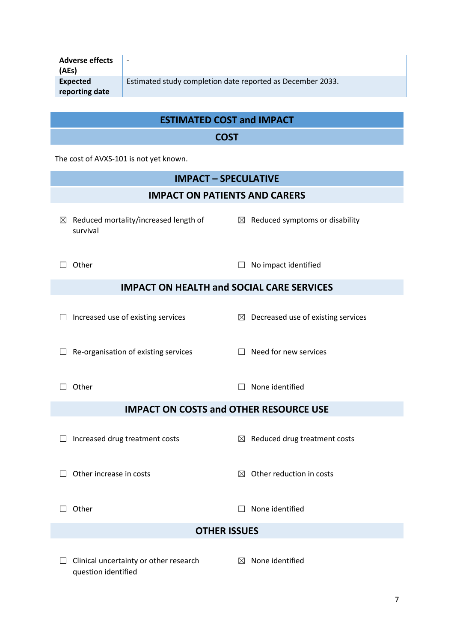| <b>Adverse effects</b><br>(AEs) | $\overline{\phantom{0}}$                                   |
|---------------------------------|------------------------------------------------------------|
| Expected<br>reporting date      | Estimated study completion date reported as December 2033. |

## **ESTIMATED COST and IMPACT**

## **COST**

The cost of AVXS-101 is not yet known.

question identified

| <b>IMPACT - SPECULATIVE</b>                                   |                                                |  |  |  |  |
|---------------------------------------------------------------|------------------------------------------------|--|--|--|--|
|                                                               | <b>IMPACT ON PATIENTS AND CARERS</b>           |  |  |  |  |
| $\boxtimes$ Reduced mortality/increased length of<br>survival | $\boxtimes$ Reduced symptoms or disability     |  |  |  |  |
| Other                                                         | No impact identified                           |  |  |  |  |
| <b>IMPACT ON HEALTH and SOCIAL CARE SERVICES</b>              |                                                |  |  |  |  |
| Increased use of existing services                            | $\boxtimes$ Decreased use of existing services |  |  |  |  |
| Re-organisation of existing services                          | Need for new services                          |  |  |  |  |
| Other                                                         | None identified                                |  |  |  |  |
| <b>IMPACT ON COSTS and OTHER RESOURCE USE</b>                 |                                                |  |  |  |  |
| Increased drug treatment costs                                | $\boxtimes$ Reduced drug treatment costs       |  |  |  |  |
| Other increase in costs                                       | Other reduction in costs<br>$\boxtimes$        |  |  |  |  |
| Other                                                         | None identified                                |  |  |  |  |
| <b>OTHER ISSUES</b>                                           |                                                |  |  |  |  |
| Clinical uncertainty or other research                        | None identified<br>$\boxtimes$                 |  |  |  |  |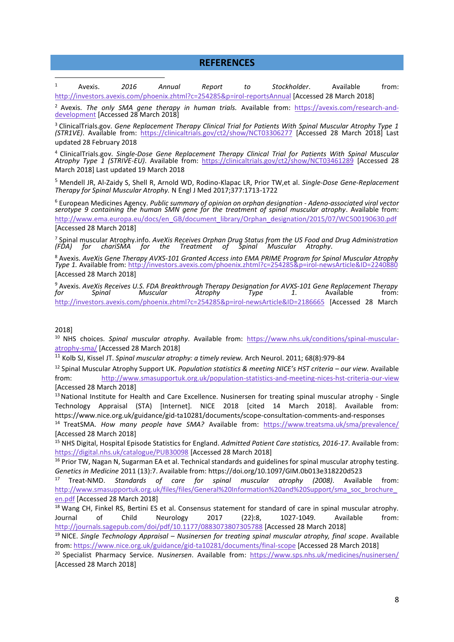#### **REFERENCES**

1 Avexis. *2016 Annual Report to Stockholder*. Available from: <http://investors.avexis.com/phoenix.zhtml?c=254285&p=irol-reportsAnnual> [Accessed 28 March 2018]

<sup>2</sup> Avexis. *The only SMA gene therapy in human trials.* Available from: [https://avexis.com/research-and](https://avexis.com/research-and-development)[development](https://avexis.com/research-and-development) [Accessed 28 March 2018]

<sup>3</sup> ClinicalTrials.gov. *Gene Replacement Therapy Clinical Trial for Patients With Spinal Muscular Atrophy Type 1 (STR1VE)*. Available from: <https://clinicaltrials.gov/ct2/show/NCT03306277> [Accessed 28 March 2018] Last updated 28 February 2018

<sup>4</sup> ClinicalTrials.gov. *Single-Dose Gene Replacement Therapy Clinical Trial for Patients With Spinal Muscular Atrophy Type 1 (STRIVE-EU)*. Available from: <https://clinicaltrials.gov/ct2/show/NCT03461289> [Accessed 28 March 2018] Last updated 19 March 2018

<sup>5</sup> Mendell JR, Al-Zaidy S, Shell R, Arnold WD, Rodino-Klapac LR, Prior TW,et al. *Single-Dose Gene-Replacement Therapy for Spinal Muscular Atrophy.* N Engl J Med 2017;377:1713-1722

<sup>6</sup> European Medicines Agency. *Public summary of opinion on orphan designation* - *Adeno-associated viral vector serotype 9 containing the human SMN gene for the treatment of spinal muscular atrophy*. Available from: [http://www.ema.europa.eu/docs/en\\_GB/document\\_library/Orphan\\_designation/2015/07/WC500190630.pdf](http://www.ema.europa.eu/docs/en_GB/document_library/Orphan_designation/2015/07/WC500190630.pdf) [Accessed 28 March 2018]

7 Spinal muscular Atrophy.info. *AveXis Receives Orphan Drug Status from the US Food and Drug Administration (FDA) for chariSMA for the Treatment of Spinal Muscular Atrophy*.

<sup>8</sup> Avexis. *[AveXis Gene Therapy AVXS-101 Granted Access into EMA PRIME Program for Spinal Muscular Atrophy](http://www.spinalmuscularatrophy.info/2014/10/avexis-receives-orphan-drug-status-from.html#!/2014/10/avexis-receives-orphan-drug-status-from.html)  Type 1.* [Available from: http://investors.avexis.com/phoenix.zhtml?c=](http://www.spinalmuscularatrophy.info/2014/10/avexis-receives-orphan-drug-status-from.html#!/2014/10/avexis-receives-orphan-drug-status-from.html)254285&p=irol-newsArticle&ID=2240880 [Accessed 28 March 2018]

<sup>9</sup> Avexis. *AveXis Receiv[es U.S. FDA Breakthrough Therapy Designation for AVXS-101 Gene Replacement Therapy](http://investors.avexis.com/phoenix.zhtml?c=254285&p=irol-newsArticle&ID=2240880%20)  for Spinal Muscular Atrophy Type 1*. Available from: http://investors.avexis.com/phoenix.zhtml?c=254285&p=irol-newsArticle&ID=2186665 [Accessed 28 March

#### 2018]

10 NHS choices. *Spinal muscular atrophy*. Available from: [https://www.nhs.uk/conditions/spinal-muscular](https://www.nhs.uk/conditions/spinal-muscular-atrophy-sma/)[atrophy-sma/ \[](https://www.nhs.uk/conditions/spinal-muscular-atrophy-sma/)Accessed 28 March 2018]

<sup>11</sup> Kolb SJ, Kissel JT. *Spinal muscular atrophy: a timely review.* Arch Neurol. 2011; 68(8):979-84

<sup>12</sup> Spinal Muscular Atrophy Support UK. *Population statistics & meeting NICE's HST criteria – our view.* Available from: <http://www.smasupportuk.org.uk/population-statistics-and-meeting-nices-hst-criteria-our-view> [Accessed 28 March 2018]

<sup>13</sup> National Institute for Health and Care Excellence. Nusinersen for treating spinal muscular atrophy - Single Technology Appraisal (STA) [Internet]. NICE 2018 [cited 14 March 2018]. Available from: <https://www.nice.org.uk/guidance/gid-ta10281/documents/scope-consultation-comments-and-responses>

<sup>14</sup> TreatSMA. *How many people have SMA?* Available from: <https://www.treatsma.uk/sma/prevalence/> [Accessed 28 March 2018]

<sup>15</sup> NHS Digital, Hospital Episode Statistics for England. *Admitted Patient Care statistics, 2016-17*. Available from: [https://digital.nhs.uk/catalogue/PUB30098 \[](https://digital.nhs.uk/catalogue/PUB30098)Accessed 28 March 2018]

<sup>16</sup> Prior TW, Nagan N, Sugarman EA et al. Technical standards and guidelines for spinal muscular atrophy testing. *Genetics in Medicine* 2011 (13):7. Available from: https://doi.org/10.1097/GIM.0b013e318220d523

<sup>17</sup> Treat-NMD. *Standards of care for spinal muscular atrophy (2008)*. Available from: [http://www.smasupportuk.org.uk/files/files/General%20Information%20and%20Support/sma\\_soc\\_brochure\\_](http://www.smasupportuk.org.uk/files/files/General%20Information%20and%20Support/sma_soc_brochure_en.pdf) [en.pdf \[](http://www.smasupportuk.org.uk/files/files/General%20Information%20and%20Support/sma_soc_brochure_en.pdf)Accessed 28 March 2018]

<sup>18</sup> Wang CH, Finkel RS, Bertini ES et al. Consensus statement for standard of care in spinal muscular atrophy. Journal of Child Neurology 2017 (22):8, 1027-1049. Available from: <http://journals.sagepub.com/doi/pdf/10.1177/0883073807305788>[Accessed 28 March 2018]

<sup>19</sup> NICE. *Single Technology Appraisal – Nusinersen for treating spinal muscular atrophy, final scope*. Available from[: https://www.nice.org.uk/guidance/gid-ta10281/documents/final-scope](https://www.nice.org.uk/guidance/gid-ta10281/documents/final-scope) [Accessed 28 March 2018]

<sup>20</sup> Specialist Pharmacy Service. *Nusinersen*. Available from: <https://www.sps.nhs.uk/medicines/nusinersen/> [Accessed 28 March 2018]